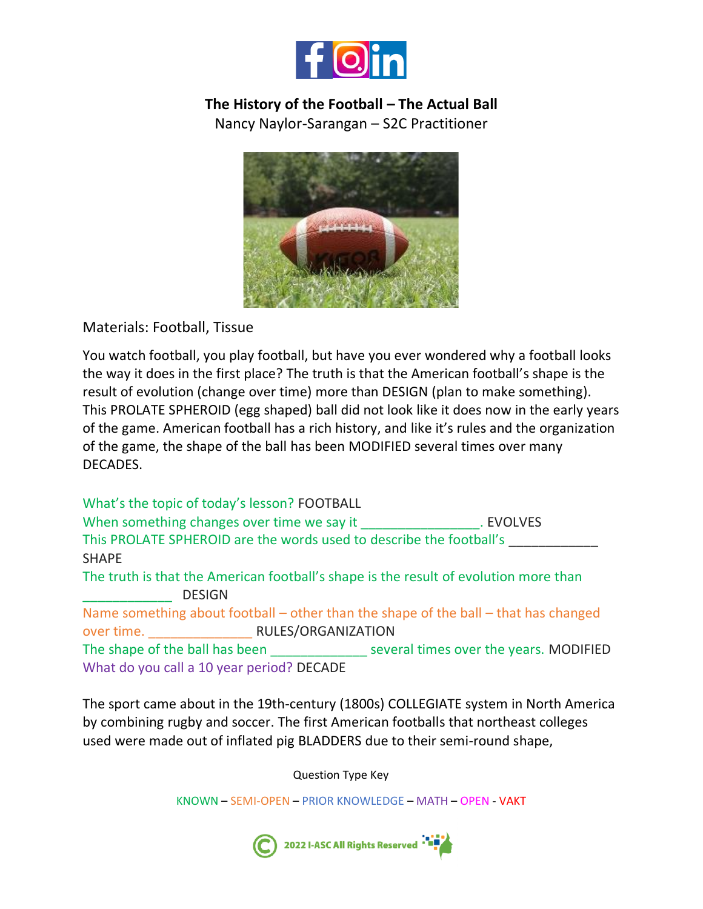

## **The History of the Football – The Actual Ball**

Nancy Naylor-Sarangan – S2C Practitioner



Materials: Football, Tissue

You watch football, you play football, but have you ever wondered why a football looks the way it does in the first place? The truth is that the American football's shape is the result of evolution (change over time) more than DESIGN (plan to make something). This PROLATE SPHEROID (egg shaped) ball did not look like it does now in the early years of the game. American football has a rich history, and like it's rules and the organization of the game, the shape of the ball has been MODIFIED several times over many DECADES.

What's the topic of today's lesson? FOOTBALL When something changes over time we say it The second the SVOLVES This PROLATE SPHEROID are the words used to describe the football's \_\_\_\_\_\_\_\_\_\_\_\_ SHAPE The truth is that the American football's shape is the result of evolution more than \_\_\_\_\_\_\_\_\_\_\_\_ DESIGN Name something about football – other than the shape of the ball – that has changed over time. \_\_\_\_\_\_\_\_\_\_\_\_\_\_ RULES/ORGANIZATION The shape of the ball has been several times over the years. MODIFIED What do you call a 10 year period? DECADE

The sport came about in the 19th-century (1800s) COLLEGIATE system in North America by combining rugby and soccer. The first American footballs that northeast colleges used were made out of inflated pig BLADDERS due to their semi-round shape,

Question Type Key

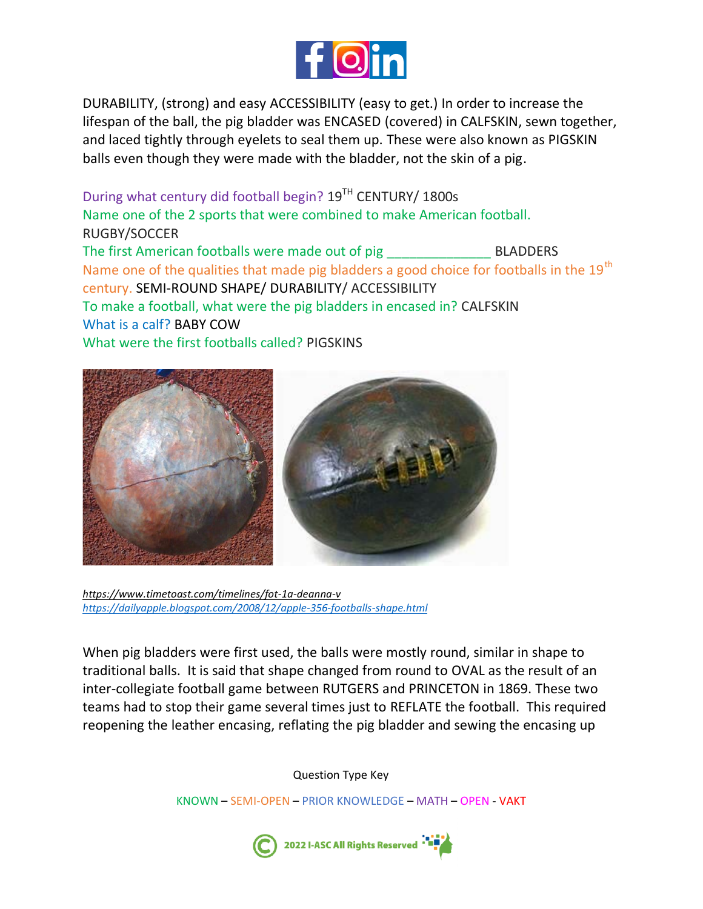

DURABILITY, (strong) and easy ACCESSIBILITY (easy to get.) In order to increase the lifespan of the ball, the pig bladder was ENCASED (covered) in CALFSKIN, sewn together, and laced tightly through eyelets to seal them up. These were also known as PIGSKIN balls even though they were made with the bladder, not the skin of a pig.

During what century did football begin? 19<sup>TH</sup> CENTURY/ 1800s Name one of the 2 sports that were combined to make American football. RUGBY/SOCCER The first American footballs were made out of pig BLADDERS Name one of the qualities that made pig bladders a good choice for footballs in the 19<sup>th</sup> century. SEMI-ROUND SHAPE/ DURABILITY/ ACCESSIBILITY To make a football, what were the pig bladders in encased in? CALFSKIN What is a calf? BABY COW What were the first footballs called? PIGSKINS



*<https://www.timetoast.com/timelines/fot-1a-deanna-v> <https://dailyapple.blogspot.com/2008/12/apple-356-footballs-shape.html>*

When pig bladders were first used, the balls were mostly round, similar in shape to traditional balls. It is said that shape changed from round to OVAL as the result of an inter-collegiate football game between RUTGERS and PRINCETON in 1869. These two teams had to stop their game several times just to REFLATE the football. This required reopening the leather encasing, reflating the pig bladder and sewing the encasing up

Question Type Key

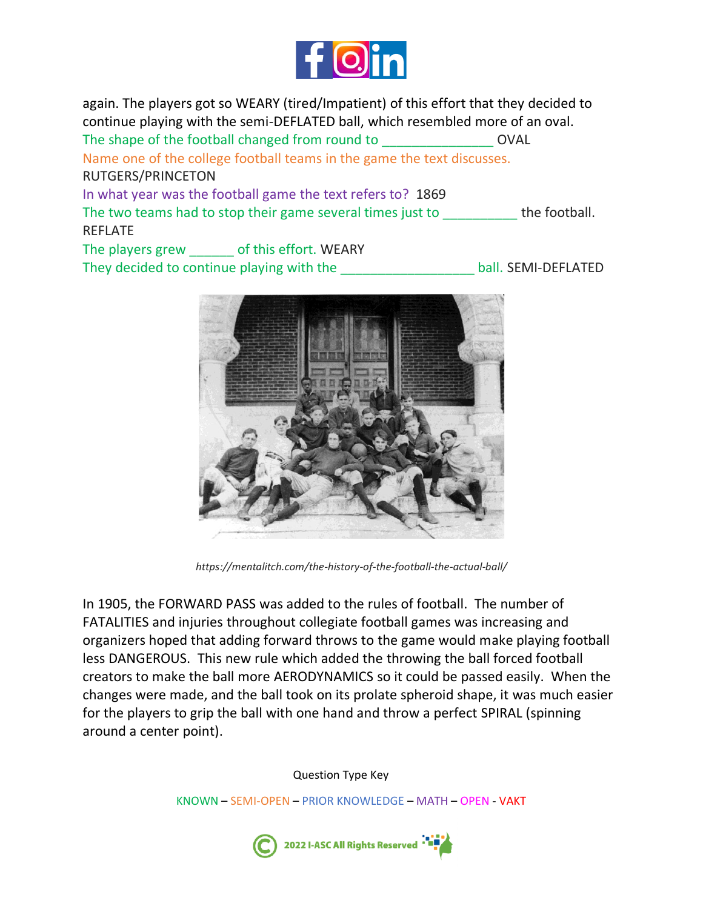

again. The players got so WEARY (tired/Impatient) of this effort that they decided to continue playing with the semi-DEFLATED ball, which resembled more of an oval. The shape of the football changed from round to **EXECUTE:** OVAL Name one of the college football teams in the game the text discusses. RUTGERS/PRINCETON In what year was the football game the text refers to? 1869 The two teams had to stop their game several times just to \_\_\_\_\_\_\_\_\_\_\_\_ the football. REFLATE The players grew of this effort. WEARY

They decided to continue playing with the **Example 20 ball.** SEMI-DEFLATED



*https://mentalitch.com/the-history-of-the-football-the-actual-ball/*

In 1905, the FORWARD PASS was added to the [rules](https://mentalitch.com/obscure-nfl-rules-we-had-no-idea-existed/) of football. The number of FATALITIES and injuries throughout collegiate football games was increasing and organizers hoped that adding forward throws to the game would make playing football less DANGEROUS. This new rule which added the throwing the ball forced football creators to make the ball more AERODYNAMICS so it could be passed easily. When the changes were made, and the ball took on its prolate spheroid shape, it was much easier for the players to grip the ball with one hand and throw a perfect SPIRAL (spinning around a center point).

Question Type Key

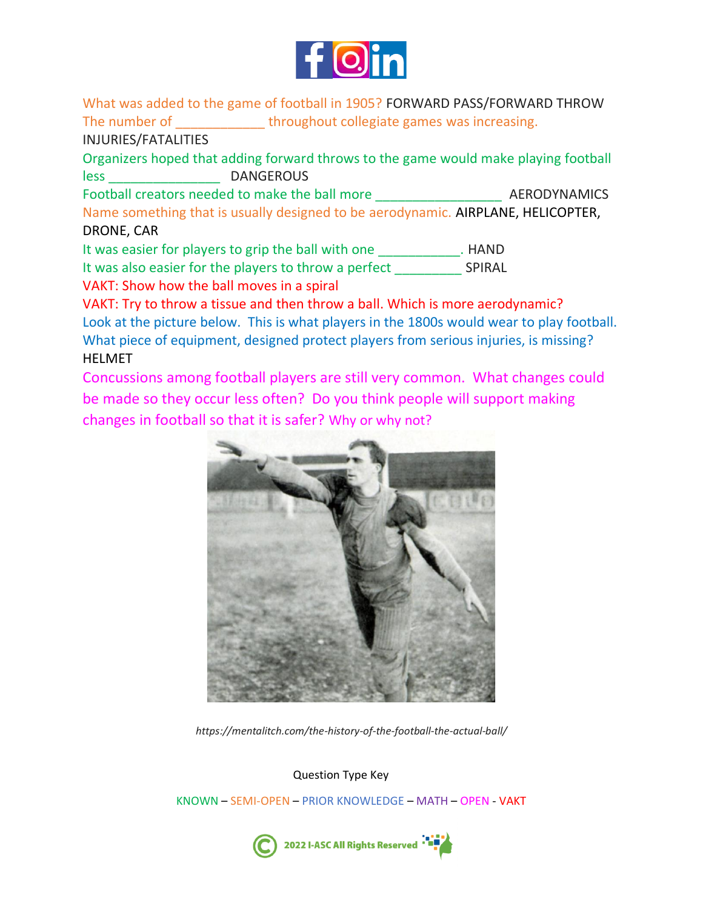

What was added to the game of football in 1905? FORWARD PASS/FORWARD THROW The number of The number of throughout collegiate games was increasing. INJURIES/FATALITIES

Organizers hoped that adding forward throws to the game would make playing football less \_\_\_\_\_\_\_\_\_\_\_\_\_\_\_ DANGEROUS

Football creators needed to make the ball more **AERODYNAMICS** Name something that is usually designed to be aerodynamic. AIRPLANE, HELICOPTER, DRONE, CAR

It was easier for players to grip the ball with one Theorem 2011. HAND It was also easier for the players to throw a perfect SPIRAL

VAKT: Show how the ball moves in a spiral

VAKT: Try to throw a tissue and then throw a ball. Which is more aerodynamic? Look at the picture below. This is what players in the 1800s would wear to play football. What piece of equipment, designed protect players from serious injuries, is missing? HELMET

Concussions among football players are still very common. What changes could be made so they occur less often? Do you think people will support making changes in football so that it is safer? Why or why not?



*https://mentalitch.com/the-history-of-the-football-the-actual-ball/*

Question Type Key

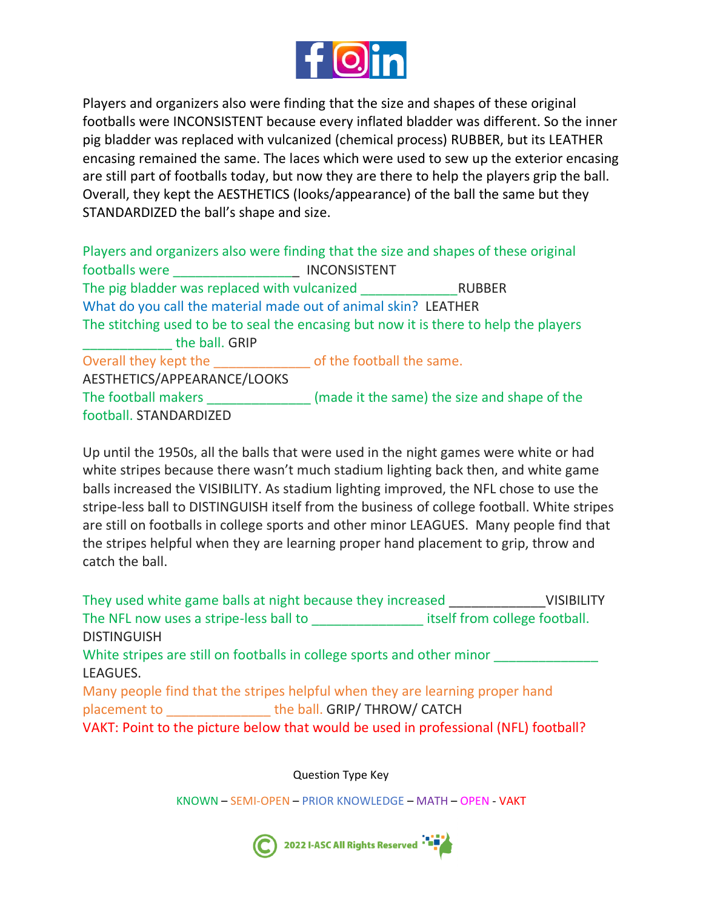

Players and organizers also were finding that the size and shapes of these original footballs were INCONSISTENT because every inflated bladder was different. So the inner pig bladder was replaced with vulcanized (chemical process) RUBBER, but its LEATHER encasing remained the same. The laces which were used to sew up the exterior encasing are still part of footballs today, but now they are there to help the players grip the ball. Overall, they kept the AESTHETICS (looks/appearance) of the ball the same but they STANDARDIZED the ball's shape and size.

Players and organizers also were finding that the size and shapes of these original footballs were **EXECUTE:** INCONSISTENT The pig bladder was replaced with vulcanized The pig bladder was replaced with vulcanized What do you call the material made out of animal skin? LEATHER The stitching used to be to seal the encasing but now it is there to help the players the ball. GRIP Overall they kept the \_\_\_\_\_\_\_\_\_\_\_\_\_ of the football the same. AESTHETICS/APPEARANCE/LOOKS The football makers **The football makers** (made it the same) the size and shape of the football. STANDARDIZED

Up until the 1950s, all the balls that were used in the night games were white or had white stripes because there wasn't much stadium lighting back then, and white game balls increased the VISIBILITY. As stadium lighting improved, the NFL chose to use the stripe-less ball to DISTINGUISH itself from the business of college football. White stripes are still on footballs in college sports and other minor LEAGUES. Many people find that the stripes helpful when they are learning proper hand placement to grip, throw and catch the ball.

| They used white game balls at night because they increased                                                                                      | <b>VISIBILITY</b>             |
|-------------------------------------------------------------------------------------------------------------------------------------------------|-------------------------------|
| The NFL now uses a stripe-less ball to                                                                                                          | itself from college football. |
| <b>DISTINGUISH</b>                                                                                                                              |                               |
| White stripes are still on footballs in college sports and other minor                                                                          |                               |
| LEAGUES.                                                                                                                                        |                               |
| Many people find that the stripes helpful when they are learning proper hand                                                                    |                               |
| the ball. GRIP/ THROW/ CATCH<br>placement to a state of the state of the state of the state of the state of the state of the state of the state |                               |
| VAKT: Point to the picture below that would be used in professional (NFL) football?                                                             |                               |

Question Type Key

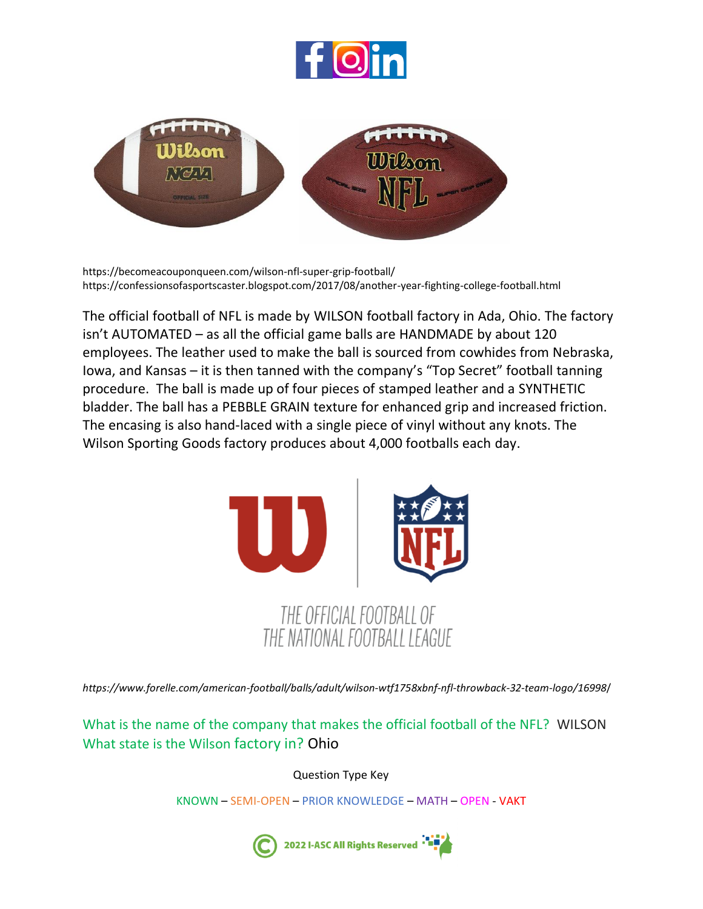



https://becomeacouponqueen.com/wilson-nfl-super-grip-football/ <https://confessionsofasportscaster.blogspot.com/2017/08/another-year-fighting-college-football.html>

The official football of NFL is made by WILSON football factory in Ada, Ohio. The factory isn't AUTOMATED – as all the official game balls are HANDMADE by about 120 employees. The leather used to make the ball is sourced from cowhides from Nebraska, Iowa, and Kansas – it is then tanned with the company's "Top Secret" football tanning procedure. The ball is made up of four pieces of stamped leather and a SYNTHETIC bladder. The ball has a PEBBLE GRAIN texture for enhanced grip and increased friction. The encasing is also hand-laced with a single piece of vinyl without any knots. The Wilson Sporting Goods factory produces about 4,000 footballs each day.



*https://www.forelle.com/american-football/balls/adult/wilson-wtf1758xbnf-nfl-throwback-32-team-logo/16998*/

What is the name of the company that makes the official football of the NFL? WILSON What state is the Wilson factory in? Ohio

Question Type Key

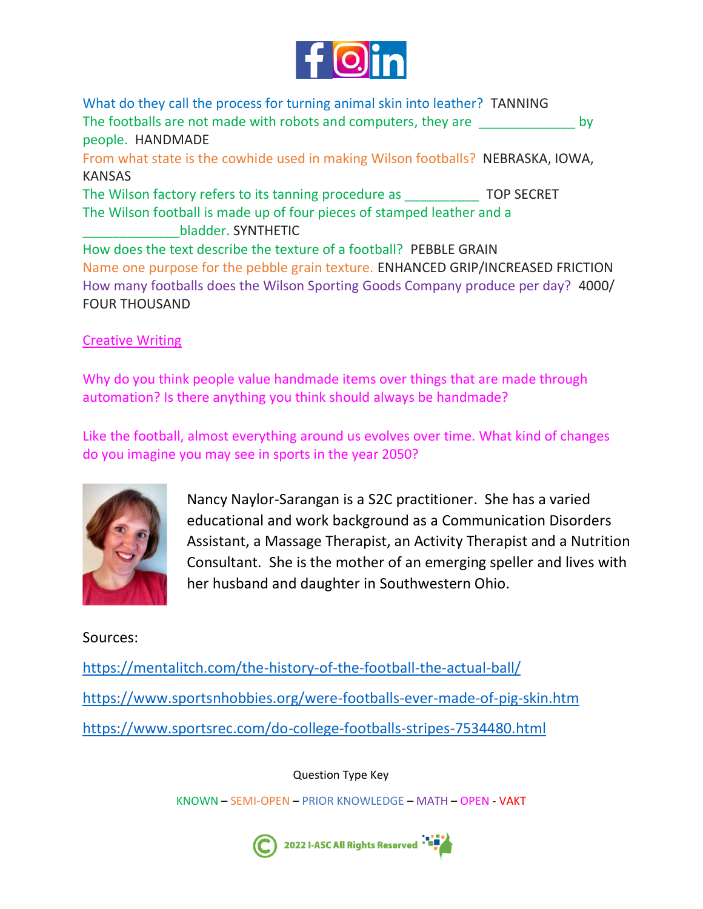

What do they call the process for turning animal skin into leather? TANNING The footballs are not made with robots and computers, they are  $\rho$  by people. HANDMADE From what state is the cowhide used in making Wilson footballs? NEBRASKA, IOWA, KANSAS The Wilson factory refers to its tanning procedure as **TOP SECRET** The Wilson football is made up of four pieces of stamped leather and a \_\_\_\_\_\_\_\_\_\_\_\_\_bladder. SYNTHETIC How does the text describe the texture of a football? PEBBLE GRAIN Name one purpose for the pebble grain texture. ENHANCED GRIP/INCREASED FRICTION How many footballs does the Wilson Sporting Goods Company produce per day? 4000/ FOUR THOUSAND

## Creative Writing

Why do you think people value handmade items over things that are made through automation? Is there anything you think should always be handmade?

Like the football, almost everything around us evolves over time. What kind of changes do you imagine you may see in sports in the year 2050?



Nancy Naylor-Sarangan is a S2C practitioner. She has a varied educational and work background as a Communication Disorders Assistant, a Massage Therapist, an Activity Therapist and a Nutrition Consultant. She is the mother of an emerging speller and lives with her husband and daughter in Southwestern Ohio.

## Sources:

<https://mentalitch.com/the-history-of-the-football-the-actual-ball/> <https://www.sportsnhobbies.org/were-footballs-ever-made-of-pig-skin.htm> <https://www.sportsrec.com/do-college-footballs-stripes-7534480.html>

Question Type Key